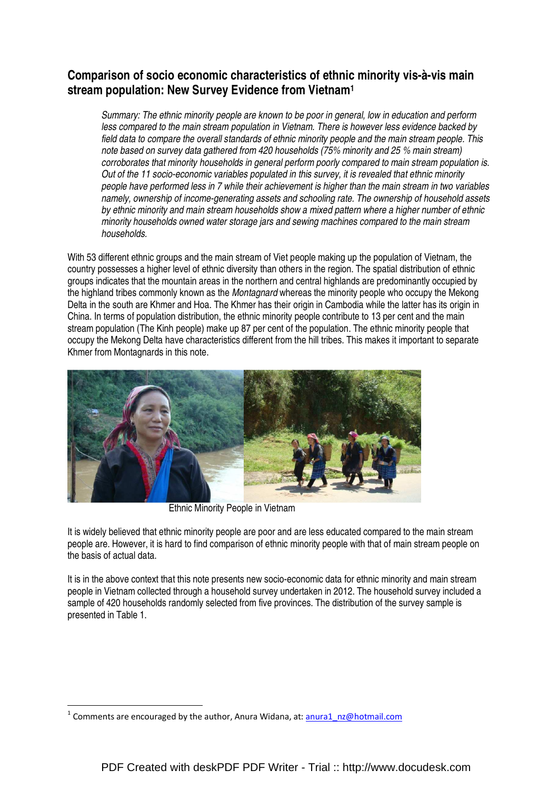# **Comparison of socio economic characteristics of ethnic minority vis-à-vis main stream population: New Survey Evidence from Vietnam<sup>1</sup>**

Summary: The ethnic minority people are known to be poor in general, low in education and perform less compared to the main stream population in Vietnam. There is however less evidence backed by field data to compare the overall standards of ethnic minority people and the main stream people. This note based on survey data gathered from 420 households (75% minority and 25 % main stream) corroborates that minority households in general perform poorly compared to main stream population is. Out of the 11 socio-economic variables populated in this survey, it is revealed that ethnic minority people have performed less in 7 while their achievement is higher than the main stream in two variables namely, ownership of income-generating assets and schooling rate. The ownership of household assets by ethnic minority and main stream households show a mixed pattern where a higher number of ethnic minority households owned water storage jars and sewing machines compared to the main stream households.

With 53 different ethnic groups and the main stream of Viet people making up the population of Vietnam, the country possesses a higher level of ethnic diversity than others in the region. The spatial distribution of ethnic groups indicates that the mountain areas in the northern and central highlands are predominantly occupied by the highland tribes commonly known as the *Montagnard* whereas the minority people who occupy the Mekong Delta in the south are Khmer and Hoa. The Khmer has their origin in Cambodia while the latter has its origin in China. In terms of population distribution, the ethnic minority people contribute to 13 per cent and the main stream population (The Kinh people) make up 87 per cent of the population. The ethnic minority people that occupy the Mekong Delta have characteristics different from the hill tribes. This makes it important to separate Khmer from Montagnards in this note.



Ethnic Minority People in Vietnam

It is widely believed that ethnic minority people are poor and are less educated compared to the main stream people are. However, it is hard to find comparison of ethnic minority people with that of main stream people on the basis of actual data.

It is in the above context that this note presents new socio-economic data for ethnic minority and main stream people in Vietnam collected through a household survey undertaken in 2012. The household survey included a sample of 420 households randomly selected from five provinces. The distribution of the survey sample is presented in Table 1.

 $\overline{a}$ 

<sup>&</sup>lt;sup>1</sup> Comments are encouraged by the author, Anura Widana, at: **anura1** nz@hotmail.com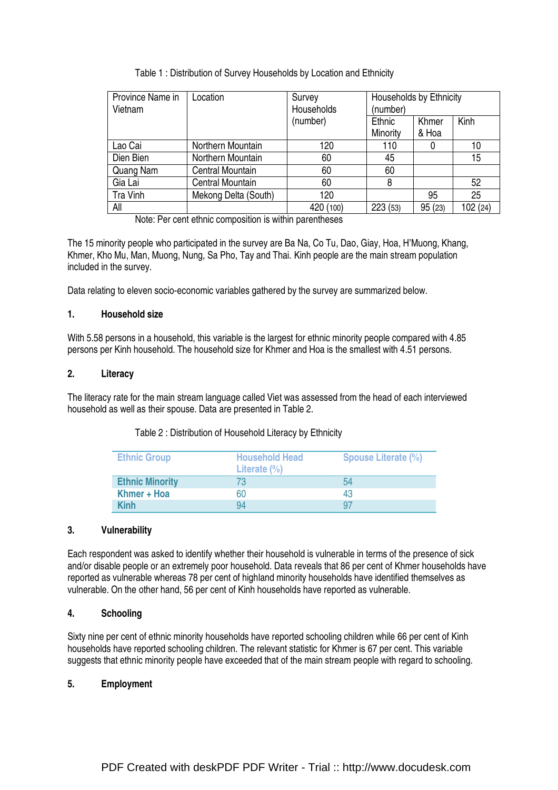# Table 1 : Distribution of Survey Households by Location and Ethnicity

| Province Name in<br>Vietnam | Location             | Survey<br>Households<br>(number) |                    | Households by Ethnicity |          |  |
|-----------------------------|----------------------|----------------------------------|--------------------|-------------------------|----------|--|
|                             |                      | (number)                         | Ethnic<br>Minority | Khmer<br>& Hoa          | Kinh     |  |
| Lao Cai                     | Northern Mountain    | 120                              | 110                | 0                       | 10       |  |
| Dien Bien                   | Northern Mountain    | 60                               | 45                 |                         | 15       |  |
| Quang Nam                   | Central Mountain     | 60                               | 60                 |                         |          |  |
| Gia Lai                     | Central Mountain     | 60                               | 8                  |                         | 52       |  |
| Tra Vinh                    | Mekong Delta (South) | 120                              |                    | 95                      | 25       |  |
| All                         |                      | 420 (100)                        | 223(53)            | 95(23)                  | 102 (24) |  |

Note: Per cent ethnic composition is within parentheses

The 15 minority people who participated in the survey are Ba Na, Co Tu, Dao, Giay, Hoa, H'Muong, Khang, Khmer, Kho Mu, Man, Muong, Nung, Sa Pho, Tay and Thai. Kinh people are the main stream population included in the survey.

Data relating to eleven socio-economic variables gathered by the survey are summarized below.

### **1. Household size**

With 5.58 persons in a household, this variable is the largest for ethnic minority people compared with 4.85 persons per Kinh household. The household size for Khmer and Hoa is the smallest with 4.51 persons.

### **2. Literacy**

The literacy rate for the main stream language called Viet was assessed from the head of each interviewed household as well as their spouse. Data are presented in Table 2.

#### Table 2 : Distribution of Household Literacy by Ethnicity

| <b>Ethnic Group</b>    | <b>Household Head</b><br>Literate $(\%)$ | <b>Spouse Literate (%)</b> |
|------------------------|------------------------------------------|----------------------------|
| <b>Ethnic Minority</b> | 73                                       | 54                         |
| Khmer + Hoa            | 60                                       | 43                         |
| <b>Kinh</b>            | 94                                       | 97                         |

#### **3. Vulnerability**

Each respondent was asked to identify whether their household is vulnerable in terms of the presence of sick and/or disable people or an extremely poor household. Data reveals that 86 per cent of Khmer households have reported as vulnerable whereas 78 per cent of highland minority households have identified themselves as vulnerable. On the other hand, 56 per cent of Kinh households have reported as vulnerable.

# **4. Schooling**

Sixty nine per cent of ethnic minority households have reported schooling children while 66 per cent of Kinh households have reported schooling children. The relevant statistic for Khmer is 67 per cent. This variable suggests that ethnic minority people have exceeded that of the main stream people with regard to schooling.

## **5. Employment**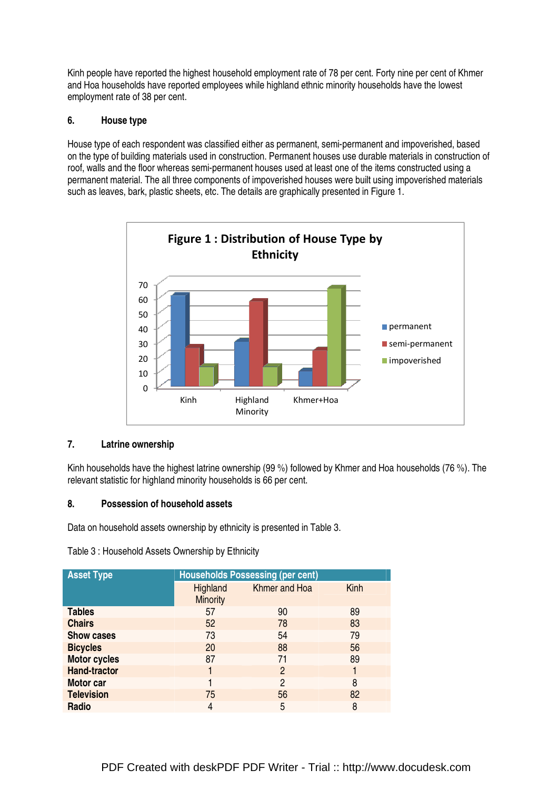Kinh people have reported the highest household employment rate of 78 per cent. Forty nine per cent of Khmer and Hoa households have reported employees while highland ethnic minority households have the lowest employment rate of 38 per cent.

# **6. House type**

House type of each respondent was classified either as permanent, semi-permanent and impoverished, based on the type of building materials used in construction. Permanent houses use durable materials in construction of roof, walls and the floor whereas semi-permanent houses used at least one of the items constructed using a permanent material. The all three components of impoverished houses were built using impoverished materials such as leaves, bark, plastic sheets, etc. The details are graphically presented in Figure 1.



## **7. Latrine ownership**

Kinh households have the highest latrine ownership (99 %) followed by Khmer and Hoa households (76 %). The relevant statistic for highland minority households is 66 per cent.

## **8. Possession of household assets**

Data on household assets ownership by ethnicity is presented in Table 3.

Table 3 : Household Assets Ownership by Ethnicity

| <b>Asset Type</b>   | <b>Households Possessing (per cent)</b> |                |      |  |
|---------------------|-----------------------------------------|----------------|------|--|
|                     | Highland<br><b>Minority</b>             | Khmer and Hoa  | Kinh |  |
| <b>Tables</b>       | 57                                      | 90             | 89   |  |
| <b>Chairs</b>       | 52                                      | 78             | 83   |  |
| <b>Show cases</b>   | 73                                      | 54             | 79   |  |
| <b>Bicycles</b>     | 20                                      | 88             | 56   |  |
| <b>Motor cycles</b> | 87                                      | 71             | 89   |  |
| <b>Hand-tractor</b> |                                         | $\overline{2}$ |      |  |
| Motor car           |                                         | 2              | 8    |  |
| <b>Television</b>   | 75                                      | 56             | 82   |  |
| Radio               | 4                                       | 5              | 8    |  |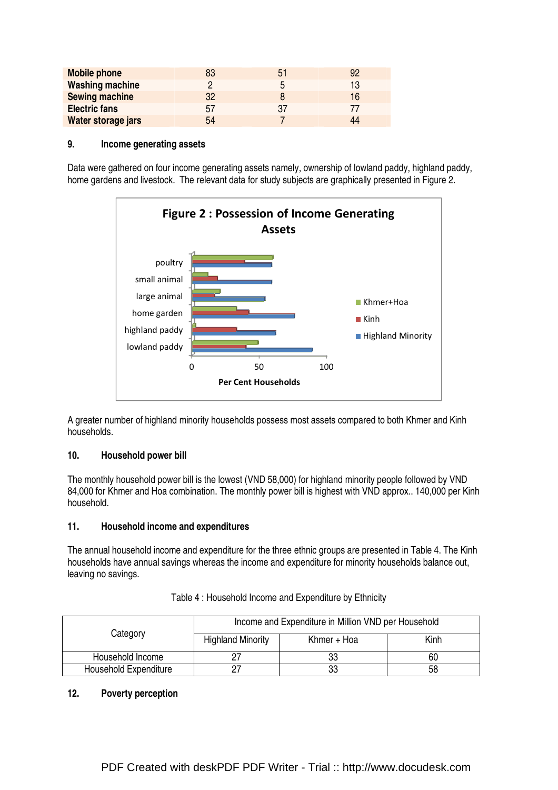| <b>Mobile phone</b>    | 83 | 51 | 92 |
|------------------------|----|----|----|
| <b>Washing machine</b> |    | 5  | 13 |
| <b>Sewing machine</b>  | 32 |    | 16 |
| <b>Electric fans</b>   | 57 | 37 |    |
| Water storage jars     | 54 |    | ΔΔ |

#### **9. Income generating assets**

Data were gathered on four income generating assets namely, ownership of lowland paddy, highland paddy, home gardens and livestock. The relevant data for study subjects are graphically presented in Figure 2.



A greater number of highland minority households possess most assets compared to both Khmer and Kinh households.

#### **10. Household power bill**

The monthly household power bill is the lowest (VND 58,000) for highland minority people followed by VND 84,000 for Khmer and Hoa combination. The monthly power bill is highest with VND approx.. 140,000 per Kinh household.

#### **11. Household income and expenditures**

The annual household income and expenditure for the three ethnic groups are presented in Table 4. The Kinh households have annual savings whereas the income and expenditure for minority households balance out, leaving no savings.

|                       | Income and Expenditure in Million VND per Household |             |      |  |
|-----------------------|-----------------------------------------------------|-------------|------|--|
| Category              | <b>Highland Minority</b>                            | Khmer + Hoa | Kinh |  |
| Household Income      |                                                     | 33          | 60   |  |
| Household Expenditure |                                                     | 33          | 58   |  |

Table 4 : Household Income and Expenditure by Ethnicity

# **12. Poverty perception**